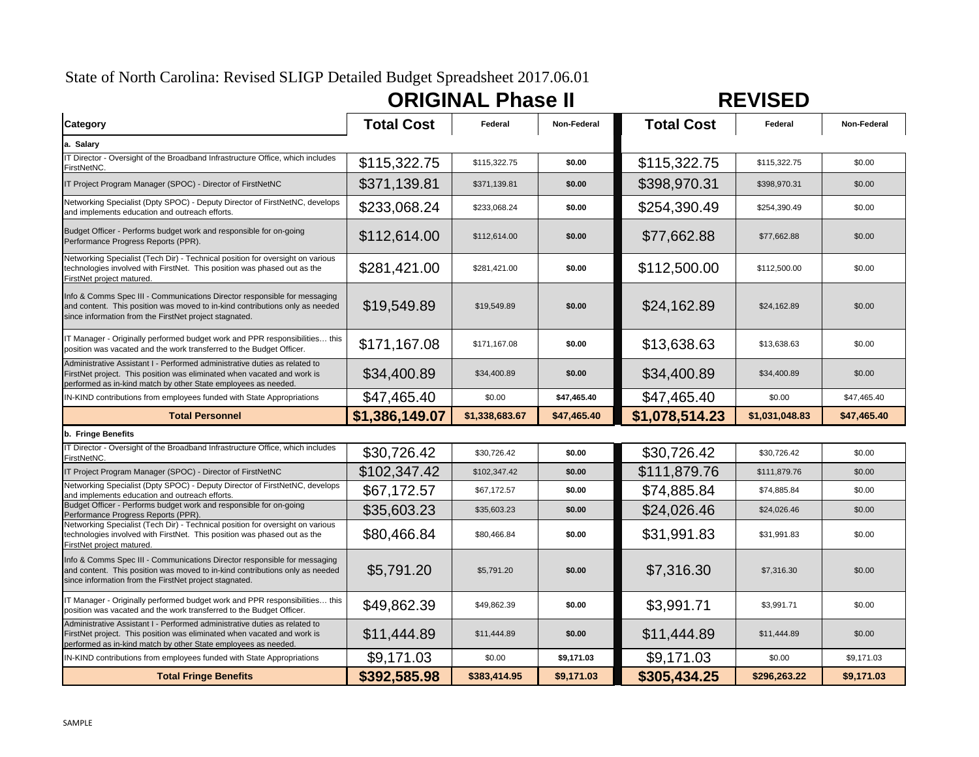# State of North Carolina: Revised SLIGP Detailed Budget Spreadsheet 2017.06.01

| <b>ORIGINAL Phase II</b> | <b>REVISED</b> |
|--------------------------|----------------|
|--------------------------|----------------|



| Category                                                                                                                                                                                                                | <b>Total Cost</b> | Federal        | Non-Federal | <b>Total Cost</b> | Federal        | Non-Federal |
|-------------------------------------------------------------------------------------------------------------------------------------------------------------------------------------------------------------------------|-------------------|----------------|-------------|-------------------|----------------|-------------|
| a. Salary                                                                                                                                                                                                               |                   |                |             |                   |                |             |
| IT Director - Oversight of the Broadband Infrastructure Office, which includes<br>FirstNetNC.                                                                                                                           | \$115,322.75      | \$115,322.75   | \$0.00      | \$115,322.75      | \$115,322.75   | \$0.00      |
| IT Project Program Manager (SPOC) - Director of FirstNetNC                                                                                                                                                              | \$371,139.81      | \$371,139.81   | \$0.00      | \$398,970.31      | \$398,970.31   | \$0.00      |
| Networking Specialist (Dpty SPOC) - Deputy Director of FirstNetNC, develops<br>and implements education and outreach efforts.                                                                                           | \$233,068.24      | \$233,068.24   | \$0.00      | \$254,390.49      | \$254,390.49   | \$0.00      |
| Budget Officer - Performs budget work and responsible for on-going<br>Performance Progress Reports (PPR).                                                                                                               | \$112,614.00      | \$112,614.00   | \$0.00      | \$77,662.88       | \$77.662.88    | \$0.00      |
| Networking Specialist (Tech Dir) - Technical position for oversight on various<br>technologies involved with FirstNet. This position was phased out as the<br>FirstNet project matured.                                 | \$281,421.00      | \$281,421.00   | \$0.00      | \$112,500.00      | \$112,500.00   | \$0.00      |
| Info & Comms Spec III - Communications Director responsible for messaging<br>and content. This position was moved to in-kind contributions only as needed<br>since information from the FirstNet project stagnated.     | \$19,549.89       | \$19,549.89    | \$0.00      | \$24,162.89       | \$24,162.89    | \$0.00      |
| IT Manager - Originally performed budget work and PPR responsibilities this<br>position was vacated and the work transferred to the Budget Officer.                                                                     | \$171,167.08      | \$171,167.08   | \$0.00      | \$13,638.63       | \$13,638.63    | \$0.00      |
| Administrative Assistant I - Performed administrative duties as related to<br>FirstNet project. This position was eliminated when vacated and work is<br>performed as in-kind match by other State employees as needed. | \$34,400.89       | \$34,400.89    | \$0.00      | \$34,400.89       | \$34,400.89    | \$0.00      |
| IN-KIND contributions from employees funded with State Appropriations                                                                                                                                                   | \$47,465.40       | \$0.00         | \$47,465.40 | \$47,465.40       | \$0.00         | \$47,465.40 |
| <b>Total Personnel</b>                                                                                                                                                                                                  | \$1,386,149.07    | \$1,338,683.67 | \$47,465.40 | \$1,078,514.23    | \$1,031,048.83 | \$47,465.40 |
| b. Fringe Benefits                                                                                                                                                                                                      |                   |                |             |                   |                |             |
| IT Director - Oversight of the Broadband Infrastructure Office, which includes<br>FirstNetNC.                                                                                                                           | \$30,726.42       | \$30,726.42    | \$0.00      | \$30,726.42       | \$30,726.42    | \$0.00      |
| IT Project Program Manager (SPOC) - Director of FirstNetNC                                                                                                                                                              | \$102,347.42      | \$102,347.42   | \$0.00      | \$111,879.76      | \$111,879.76   | \$0.00      |
| Networking Specialist (Dpty SPOC) - Deputy Director of FirstNetNC, develops<br>and implements education and outreach efforts.                                                                                           | \$67,172.57       | \$67,172.57    | \$0.00      | \$74,885.84       | \$74,885.84    | \$0.00      |
| Budget Officer - Performs budget work and responsible for on-going<br>Performance Progress Reports (PPR).                                                                                                               | \$35,603.23       | \$35,603.23    | \$0.00      | \$24,026.46       | \$24,026.46    | \$0.00      |
| Networking Specialist (Tech Dir) - Technical position for oversight on various<br>technologies involved with FirstNet. This position was phased out as the<br>FirstNet project matured.                                 | \$80,466.84       | \$80,466.84    | \$0.00      | \$31,991.83       | \$31,991.83    | \$0.00      |
| Info & Comms Spec III - Communications Director responsible for messaging<br>and content. This position was moved to in-kind contributions only as needed<br>since information from the FirstNet project stagnated.     | \$5,791.20        | \$5,791.20     | \$0.00      | \$7,316.30        | \$7,316.30     | \$0.00      |
| IT Manager - Originally performed budget work and PPR responsibilities this<br>position was vacated and the work transferred to the Budget Officer.                                                                     | \$49,862.39       | \$49,862.39    | \$0.00      | \$3,991.71        | \$3,991.71     | \$0.00      |
| Administrative Assistant I - Performed administrative duties as related to<br>FirstNet project. This position was eliminated when vacated and work is<br>performed as in-kind match by other State employees as needed. | \$11,444.89       | \$11,444.89    | \$0.00      | \$11,444.89       | \$11,444.89    | \$0.00      |
| IN-KIND contributions from employees funded with State Appropriations                                                                                                                                                   | \$9,171.03        | \$0.00         | \$9,171.03  | \$9,171.03        | \$0.00         | \$9,171.03  |
| <b>Total Fringe Benefits</b>                                                                                                                                                                                            | \$392,585.98      | \$383,414.95   | \$9,171.03  | \$305,434.25      | \$296.263.22   | \$9,171.03  |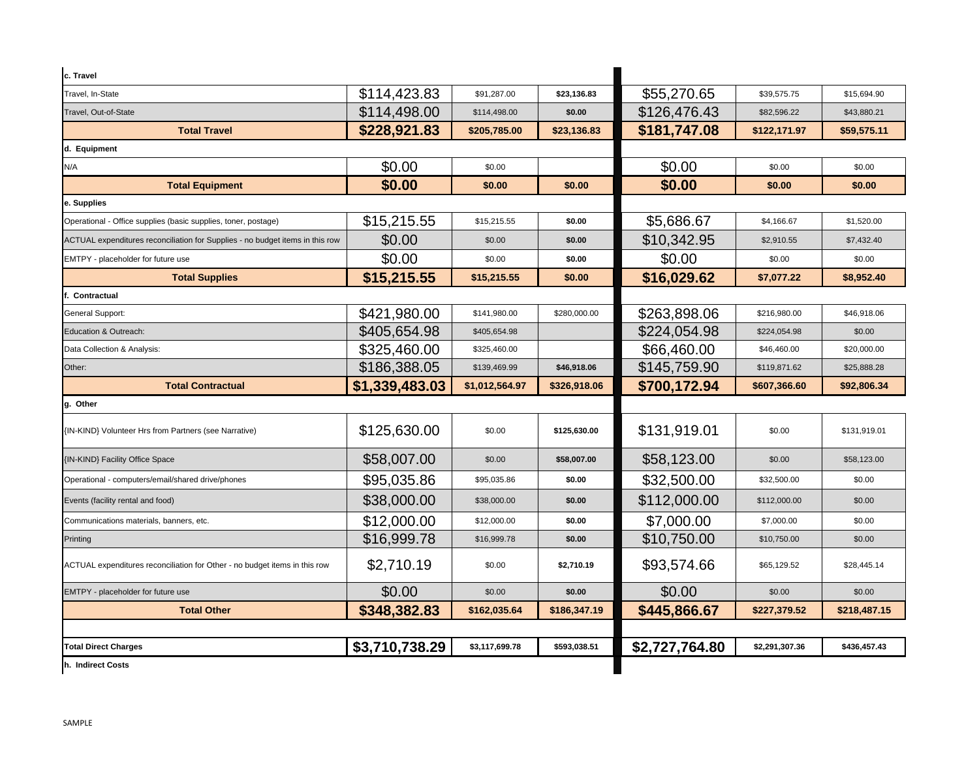| c. Travel                                                                     |                |                |              |                |                |              |
|-------------------------------------------------------------------------------|----------------|----------------|--------------|----------------|----------------|--------------|
| Travel, In-State                                                              | \$114,423.83   | \$91,287.00    | \$23,136.83  | \$55,270.65    | \$39,575.75    | \$15,694.90  |
| Travel, Out-of-State                                                          | \$114,498.00   | \$114,498.00   | \$0.00       | \$126,476.43   | \$82,596.22    | \$43,880.21  |
| <b>Total Travel</b>                                                           | \$228,921.83   | \$205,785.00   | \$23,136.83  | \$181,747.08   | \$122,171.97   | \$59,575.11  |
| d. Equipment                                                                  |                |                |              |                |                |              |
| N/A                                                                           | \$0.00         | \$0.00         |              | \$0.00         | \$0.00         | \$0.00       |
| <b>Total Equipment</b>                                                        | \$0.00         | \$0.00         | \$0.00       | \$0.00         | \$0.00         | \$0.00       |
| e. Supplies                                                                   |                |                |              |                |                |              |
| Operational - Office supplies (basic supplies, toner, postage)                | \$15,215.55    | \$15,215.55    | \$0.00       | \$5,686.67     | \$4,166.67     | \$1,520.00   |
| ACTUAL expenditures reconciliation for Supplies - no budget items in this row | \$0.00         | \$0.00         | \$0.00       | \$10,342.95    | \$2,910.55     | \$7,432.40   |
| EMTPY - placeholder for future use                                            | \$0.00         | \$0.00         | \$0.00       | \$0.00         | \$0.00         | \$0.00       |
| <b>Total Supplies</b>                                                         | \$15,215.55    | \$15,215.55    | \$0.00       | \$16,029.62    | \$7,077.22     | \$8,952.40   |
| . Contractual                                                                 |                |                |              |                |                |              |
| General Support:                                                              | \$421,980.00   | \$141,980.00   | \$280,000.00 | \$263,898.06   | \$216,980.00   | \$46,918.06  |
| Education & Outreach:                                                         | \$405,654.98   | \$405,654.98   |              | \$224,054.98   | \$224,054.98   | \$0.00       |
| Data Collection & Analysis:                                                   | \$325,460.00   | \$325,460.00   |              | \$66,460.00    | \$46,460.00    | \$20,000.00  |
| Other:                                                                        | \$186,388.05   | \$139,469.99   | \$46,918.06  | \$145,759.90   | \$119,871.62   | \$25,888.28  |
| <b>Total Contractual</b>                                                      | \$1,339,483.03 | \$1,012,564.97 | \$326,918.06 | \$700,172.94   | \$607,366.60   | \$92,806.34  |
| g. Other                                                                      |                |                |              |                |                |              |
| {IN-KIND} Volunteer Hrs from Partners (see Narrative)                         | \$125,630.00   | \$0.00         | \$125,630.00 | \$131,919.01   | \$0.00         | \$131,919.01 |
|                                                                               |                |                |              |                |                |              |
| (IN-KIND) Facility Office Space                                               | \$58,007.00    | \$0.00         | \$58,007.00  | \$58,123.00    | \$0.00         | \$58,123,00  |
| Operational - computers/email/shared drive/phones                             | \$95,035.86    | \$95,035.86    | \$0.00       | \$32,500.00    | \$32,500.00    | \$0.00       |
| Events (facility rental and food)                                             | \$38,000.00    | \$38,000.00    | \$0.00       | \$112,000.00   | \$112,000.00   | \$0.00       |
| Communications materials, banners, etc.                                       | \$12,000.00    | \$12,000.00    | \$0.00       | \$7,000.00     | \$7,000.00     | \$0.00       |
| Printing                                                                      | \$16,999.78    | \$16,999.78    | \$0.00       | \$10,750.00    | \$10,750.00    | \$0.00       |
| ACTUAL expenditures reconciliation for Other - no budget items in this row    | \$2,710.19     | \$0.00         | \$2,710.19   | \$93,574.66    | \$65,129.52    | \$28,445.14  |
| EMTPY - placeholder for future use                                            | \$0.00         | \$0.00         | \$0.00       | \$0.00         | \$0.00         | \$0.00       |
| <b>Total Other</b>                                                            | \$348,382.83   | \$162,035.64   | \$186,347.19 | \$445,866.67   | \$227,379.52   | \$218,487.15 |
|                                                                               |                |                |              |                |                |              |
| <b>Total Direct Charges</b>                                                   | \$3,710,738.29 | \$3,117,699.78 | \$593,038.51 | \$2,727,764.80 | \$2,291,307.36 | \$436,457.43 |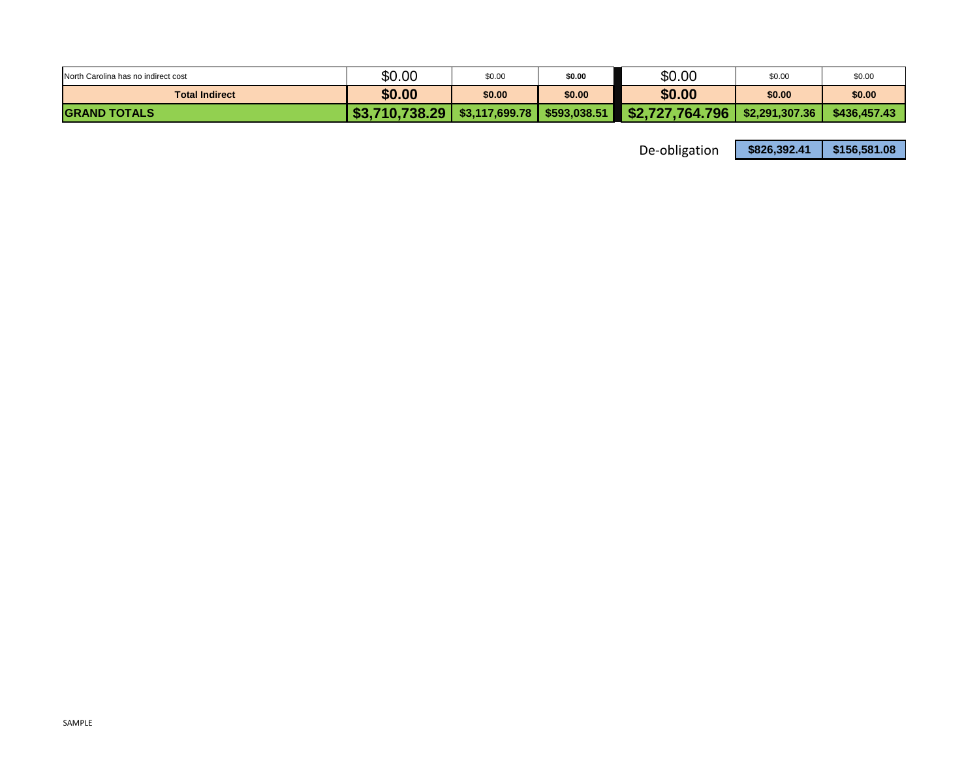| North Carolina has no indirect cost | \$0.00         | \$0.00         | \$0.00       | \$0.00                         | \$0.00         | \$0.00       |
|-------------------------------------|----------------|----------------|--------------|--------------------------------|----------------|--------------|
| <b>Total Indirect</b>               | \$0.00         | \$0.00         | \$0.00       | \$0.00                         | \$0.00         | \$0.00       |
| <b>IGRAND TOTALS</b>                | \$3,710,738.29 | \$3,117,699.78 | \$593,038.51 | $\blacksquare$ \$2,727,764.796 | \$2,291,307,36 | \$436,457,43 |

De‐obligation **\$826,392.41 \$156,581.08**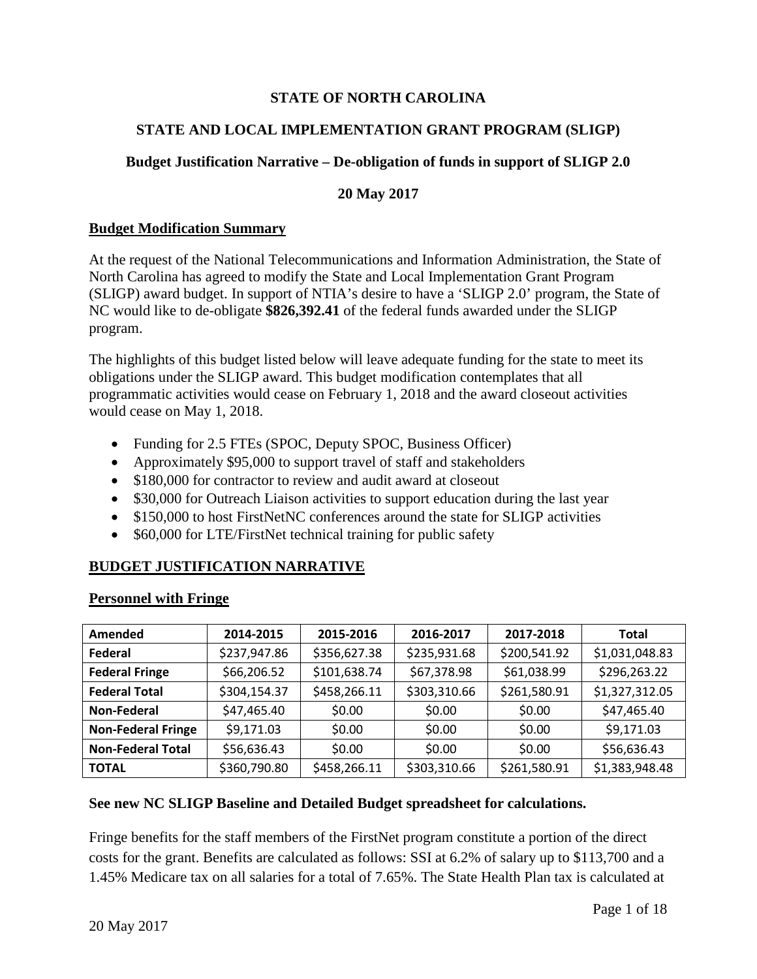# **STATE OF NORTH CAROLINA**

# **STATE AND LOCAL IMPLEMENTATION GRANT PROGRAM (SLIGP)**

# **Budget Justification Narrative – De-obligation of funds in support of SLIGP 2.0**

#### **20 May 2017**

#### **Budget Modification Summary**

At the request of the National Telecommunications and Information Administration, the State of North Carolina has agreed to modify the State and Local Implementation Grant Program (SLIGP) award budget. In support of NTIA's desire to have a 'SLIGP 2.0' program, the State of NC would like to de-obligate **\$826,392.41** of the federal funds awarded under the SLIGP program.

The highlights of this budget listed below will leave adequate funding for the state to meet its obligations under the SLIGP award. This budget modification contemplates that all programmatic activities would cease on February 1, 2018 and the award closeout activities would cease on May 1, 2018.

- Funding for 2.5 FTEs (SPOC, Deputy SPOC, Business Officer)
- Approximately \$95,000 to support travel of staff and stakeholders
- \$180,000 for contractor to review and audit award at closeout
- \$30,000 for Outreach Liaison activities to support education during the last year
- \$150,000 to host FirstNetNC conferences around the state for SLIGP activities
- \$60,000 for LTE/FirstNet technical training for public safety

# **BUDGET JUSTIFICATION NARRATIVE**

| Amended                   | 2014-2015    | 2015-2016    | 2016-2017    | 2017-2018    | Total          |
|---------------------------|--------------|--------------|--------------|--------------|----------------|
| Federal                   | \$237,947.86 | \$356,627.38 | \$235,931.68 | \$200,541.92 | \$1,031,048.83 |
| <b>Federal Fringe</b>     | \$66,206.52  | \$101,638.74 | \$67,378.98  | \$61,038.99  | \$296,263.22   |
| <b>Federal Total</b>      | \$304,154.37 | \$458,266.11 | \$303,310.66 | \$261,580.91 | \$1,327,312.05 |
| <b>Non-Federal</b>        | \$47,465.40  | \$0.00       | \$0.00       | \$0.00       | \$47,465.40    |
| <b>Non-Federal Fringe</b> | \$9,171.03   | \$0.00       | \$0.00       | \$0.00       | \$9,171.03     |
| <b>Non-Federal Total</b>  | \$56,636.43  | \$0.00       | \$0.00       | \$0.00       | \$56,636.43    |
| <b>TOTAL</b>              | \$360,790.80 | \$458,266.11 | \$303,310.66 | \$261,580.91 | \$1,383,948.48 |

# **Personnel with Fringe**

#### **See new NC SLIGP Baseline and Detailed Budget spreadsheet for calculations.**

Fringe benefits for the staff members of the FirstNet program constitute a portion of the direct costs for the grant. Benefits are calculated as follows: SSI at 6.2% of salary up to \$113,700 and a 1.45% Medicare tax on all salaries for a total of 7.65%. The State Health Plan tax is calculated at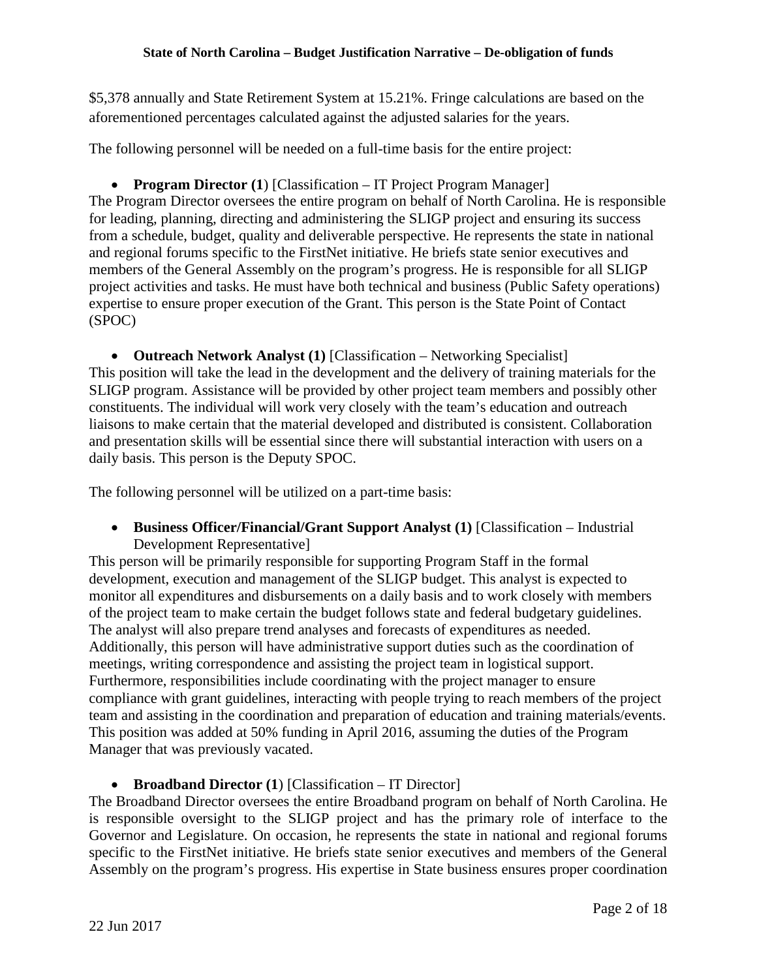\$5,378 annually and State Retirement System at 15.21%. Fringe calculations are based on the aforementioned percentages calculated against the adjusted salaries for the years.

The following personnel will be needed on a full-time basis for the entire project:

• **Program Director** (1) [Classification – IT Project Program Manager] The Program Director oversees the entire program on behalf of North Carolina. He is responsible for leading, planning, directing and administering the SLIGP project and ensuring its success from a schedule, budget, quality and deliverable perspective. He represents the state in national and regional forums specific to the FirstNet initiative. He briefs state senior executives and members of the General Assembly on the program's progress. He is responsible for all SLIGP project activities and tasks. He must have both technical and business (Public Safety operations) expertise to ensure proper execution of the Grant. This person is the State Point of Contact (SPOC)

• **Outreach Network Analyst (1)** [Classification – Networking Specialist] This position will take the lead in the development and the delivery of training materials for the SLIGP program. Assistance will be provided by other project team members and possibly other constituents. The individual will work very closely with the team's education and outreach liaisons to make certain that the material developed and distributed is consistent. Collaboration and presentation skills will be essential since there will substantial interaction with users on a daily basis. This person is the Deputy SPOC.

The following personnel will be utilized on a part-time basis:

• **Business Officer/Financial/Grant Support Analyst (1)** [Classification – Industrial Development Representative]

This person will be primarily responsible for supporting Program Staff in the formal development, execution and management of the SLIGP budget. This analyst is expected to monitor all expenditures and disbursements on a daily basis and to work closely with members of the project team to make certain the budget follows state and federal budgetary guidelines. The analyst will also prepare trend analyses and forecasts of expenditures as needed. Additionally, this person will have administrative support duties such as the coordination of meetings, writing correspondence and assisting the project team in logistical support. Furthermore, responsibilities include coordinating with the project manager to ensure compliance with grant guidelines, interacting with people trying to reach members of the project team and assisting in the coordination and preparation of education and training materials/events. This position was added at 50% funding in April 2016, assuming the duties of the Program Manager that was previously vacated.

• **Broadband Director** (1) [Classification – IT Director]

The Broadband Director oversees the entire Broadband program on behalf of North Carolina. He is responsible oversight to the SLIGP project and has the primary role of interface to the Governor and Legislature. On occasion, he represents the state in national and regional forums specific to the FirstNet initiative. He briefs state senior executives and members of the General Assembly on the program's progress. His expertise in State business ensures proper coordination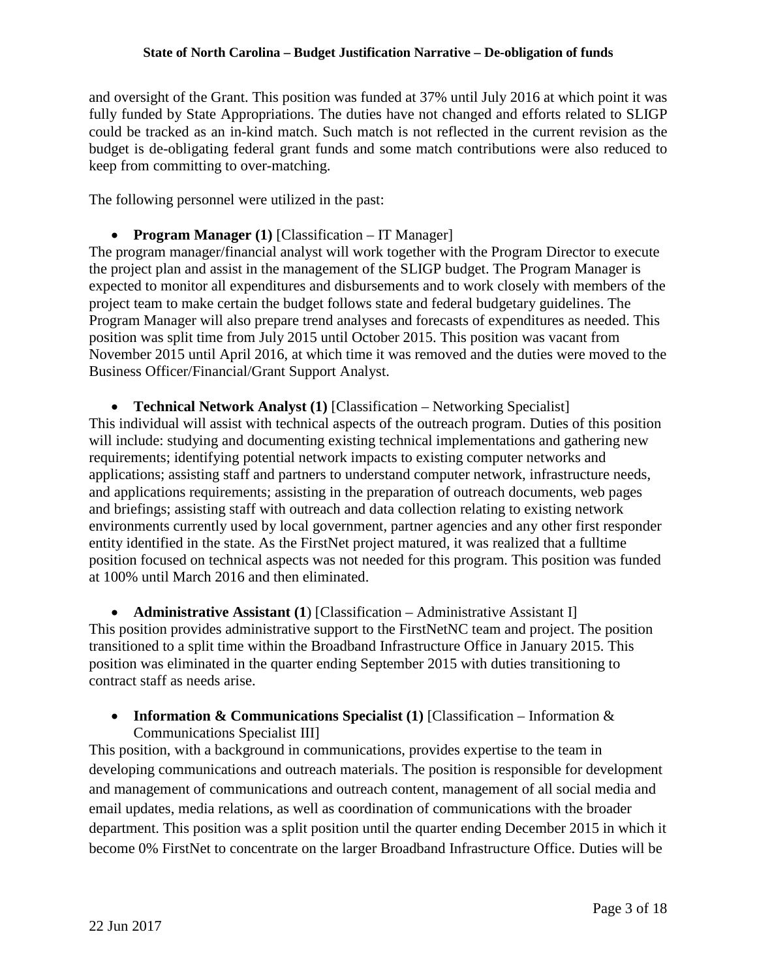and oversight of the Grant. This position was funded at 37% until July 2016 at which point it was fully funded by State Appropriations. The duties have not changed and efforts related to SLIGP could be tracked as an in-kind match. Such match is not reflected in the current revision as the budget is de-obligating federal grant funds and some match contributions were also reduced to keep from committing to over-matching.

The following personnel were utilized in the past:

• **Program Manager (1)** [Classification – IT Manager]

The program manager/financial analyst will work together with the Program Director to execute the project plan and assist in the management of the SLIGP budget. The Program Manager is expected to monitor all expenditures and disbursements and to work closely with members of the project team to make certain the budget follows state and federal budgetary guidelines. The Program Manager will also prepare trend analyses and forecasts of expenditures as needed. This position was split time from July 2015 until October 2015. This position was vacant from November 2015 until April 2016, at which time it was removed and the duties were moved to the Business Officer/Financial/Grant Support Analyst.

• **Technical Network Analyst (1)** [Classification – Networking Specialist] This individual will assist with technical aspects of the outreach program. Duties of this position will include: studying and documenting existing technical implementations and gathering new requirements; identifying potential network impacts to existing computer networks and applications; assisting staff and partners to understand computer network, infrastructure needs, and applications requirements; assisting in the preparation of outreach documents, web pages and briefings; assisting staff with outreach and data collection relating to existing network environments currently used by local government, partner agencies and any other first responder entity identified in the state. As the FirstNet project matured, it was realized that a fulltime position focused on technical aspects was not needed for this program. This position was funded at 100% until March 2016 and then eliminated.

• **Administrative Assistant (1)** [Classification – Administrative Assistant I] This position provides administrative support to the FirstNetNC team and project. The position transitioned to a split time within the Broadband Infrastructure Office in January 2015. This position was eliminated in the quarter ending September 2015 with duties transitioning to contract staff as needs arise.

# • **Information & Communications Specialist (1)** [Classification – Information & Communications Specialist III]

This position, with a background in communications, provides expertise to the team in developing communications and outreach materials. The position is responsible for development and management of communications and outreach content, management of all social media and email updates, media relations, as well as coordination of communications with the broader department. This position was a split position until the quarter ending December 2015 in which it become 0% FirstNet to concentrate on the larger Broadband Infrastructure Office. Duties will be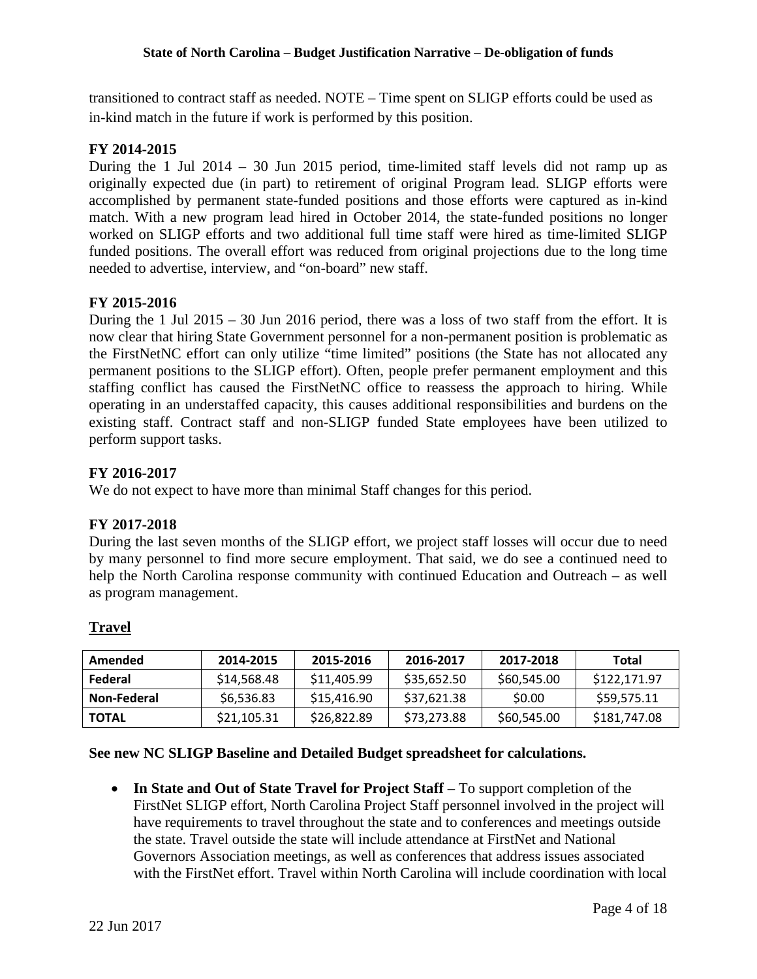transitioned to contract staff as needed. NOTE – Time spent on SLIGP efforts could be used as in-kind match in the future if work is performed by this position.

### **FY 2014-2015**

During the 1 Jul 2014 – 30 Jun 2015 period, time-limited staff levels did not ramp up as originally expected due (in part) to retirement of original Program lead. SLIGP efforts were accomplished by permanent state-funded positions and those efforts were captured as in-kind match. With a new program lead hired in October 2014, the state-funded positions no longer worked on SLIGP efforts and two additional full time staff were hired as time-limited SLIGP funded positions. The overall effort was reduced from original projections due to the long time needed to advertise, interview, and "on-board" new staff.

#### **FY 2015-2016**

During the 1 Jul 2015 – 30 Jun 2016 period, there was a loss of two staff from the effort. It is now clear that hiring State Government personnel for a non-permanent position is problematic as the FirstNetNC effort can only utilize "time limited" positions (the State has not allocated any permanent positions to the SLIGP effort). Often, people prefer permanent employment and this staffing conflict has caused the FirstNetNC office to reassess the approach to hiring. While operating in an understaffed capacity, this causes additional responsibilities and burdens on the existing staff. Contract staff and non-SLIGP funded State employees have been utilized to perform support tasks.

#### **FY 2016-2017**

We do not expect to have more than minimal Staff changes for this period.

#### **FY 2017-2018**

During the last seven months of the SLIGP effort, we project staff losses will occur due to need by many personnel to find more secure employment. That said, we do see a continued need to help the North Carolina response community with continued Education and Outreach – as well as program management.

| Amended     | 2014-2015   | 2015-2016   | 2016-2017   | 2017-2018    | Total        |
|-------------|-------------|-------------|-------------|--------------|--------------|
| Federal     | \$14,568.48 | \$11,405.99 | \$35,652.50 | \$60,545.00  | \$122,171.97 |
| Non-Federal | \$6,536.83  | \$15,416.90 | \$37,621.38 | <b>SO.00</b> | \$59,575.11  |
| I TOTAL     | \$21,105.31 | \$26,822.89 | \$73,273.88 | \$60,545.00  | \$181,747.08 |

# **Travel**

#### **See new NC SLIGP Baseline and Detailed Budget spreadsheet for calculations.**

• **In State and Out of State Travel for Project Staff** – To support completion of the FirstNet SLIGP effort, North Carolina Project Staff personnel involved in the project will have requirements to travel throughout the state and to conferences and meetings outside the state. Travel outside the state will include attendance at FirstNet and National Governors Association meetings, as well as conferences that address issues associated with the FirstNet effort. Travel within North Carolina will include coordination with local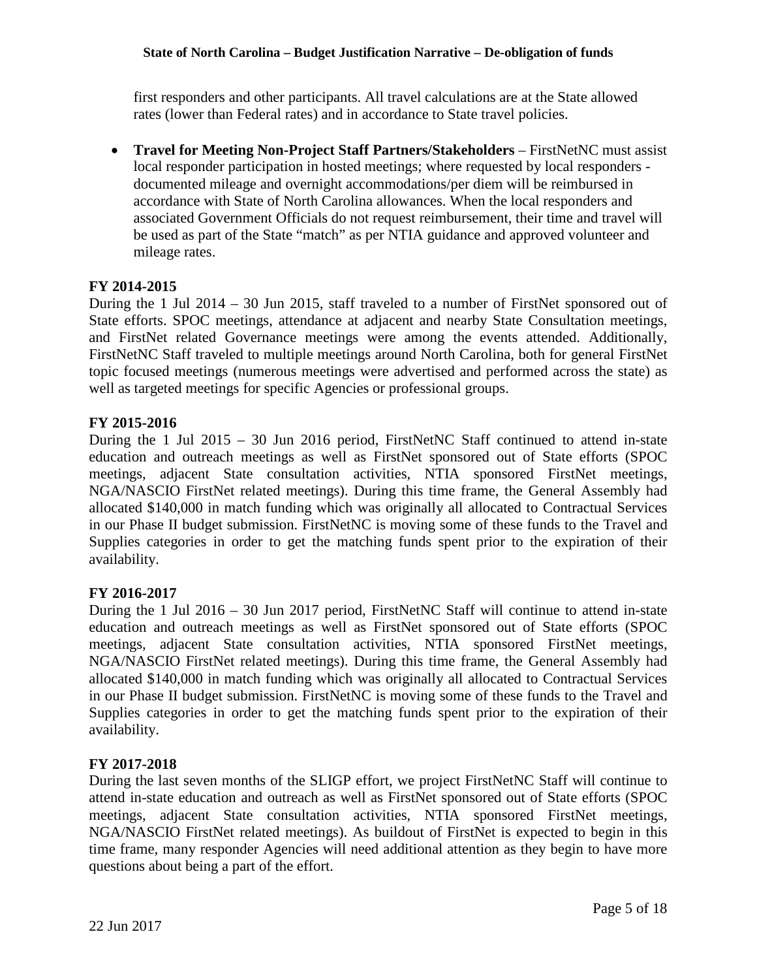first responders and other participants. All travel calculations are at the State allowed rates (lower than Federal rates) and in accordance to State travel policies.

• **Travel for Meeting Non-Project Staff Partners/Stakeholders** – FirstNetNC must assist local responder participation in hosted meetings; where requested by local responders documented mileage and overnight accommodations/per diem will be reimbursed in accordance with State of North Carolina allowances. When the local responders and associated Government Officials do not request reimbursement, their time and travel will be used as part of the State "match" as per NTIA guidance and approved volunteer and mileage rates.

#### **FY 2014-2015**

During the 1 Jul 2014 – 30 Jun 2015, staff traveled to a number of FirstNet sponsored out of State efforts. SPOC meetings, attendance at adjacent and nearby State Consultation meetings, and FirstNet related Governance meetings were among the events attended. Additionally, FirstNetNC Staff traveled to multiple meetings around North Carolina, both for general FirstNet topic focused meetings (numerous meetings were advertised and performed across the state) as well as targeted meetings for specific Agencies or professional groups.

#### **FY 2015-2016**

During the 1 Jul 2015 – 30 Jun 2016 period, FirstNetNC Staff continued to attend in-state education and outreach meetings as well as FirstNet sponsored out of State efforts (SPOC meetings, adjacent State consultation activities, NTIA sponsored FirstNet meetings, NGA/NASCIO FirstNet related meetings). During this time frame, the General Assembly had allocated \$140,000 in match funding which was originally all allocated to Contractual Services in our Phase II budget submission. FirstNetNC is moving some of these funds to the Travel and Supplies categories in order to get the matching funds spent prior to the expiration of their availability.

#### **FY 2016-2017**

During the 1 Jul 2016 – 30 Jun 2017 period, FirstNetNC Staff will continue to attend in-state education and outreach meetings as well as FirstNet sponsored out of State efforts (SPOC meetings, adjacent State consultation activities, NTIA sponsored FirstNet meetings, NGA/NASCIO FirstNet related meetings). During this time frame, the General Assembly had allocated \$140,000 in match funding which was originally all allocated to Contractual Services in our Phase II budget submission. FirstNetNC is moving some of these funds to the Travel and Supplies categories in order to get the matching funds spent prior to the expiration of their availability.

#### **FY 2017-2018**

During the last seven months of the SLIGP effort, we project FirstNetNC Staff will continue to attend in-state education and outreach as well as FirstNet sponsored out of State efforts (SPOC meetings, adjacent State consultation activities, NTIA sponsored FirstNet meetings, NGA/NASCIO FirstNet related meetings). As buildout of FirstNet is expected to begin in this time frame, many responder Agencies will need additional attention as they begin to have more questions about being a part of the effort.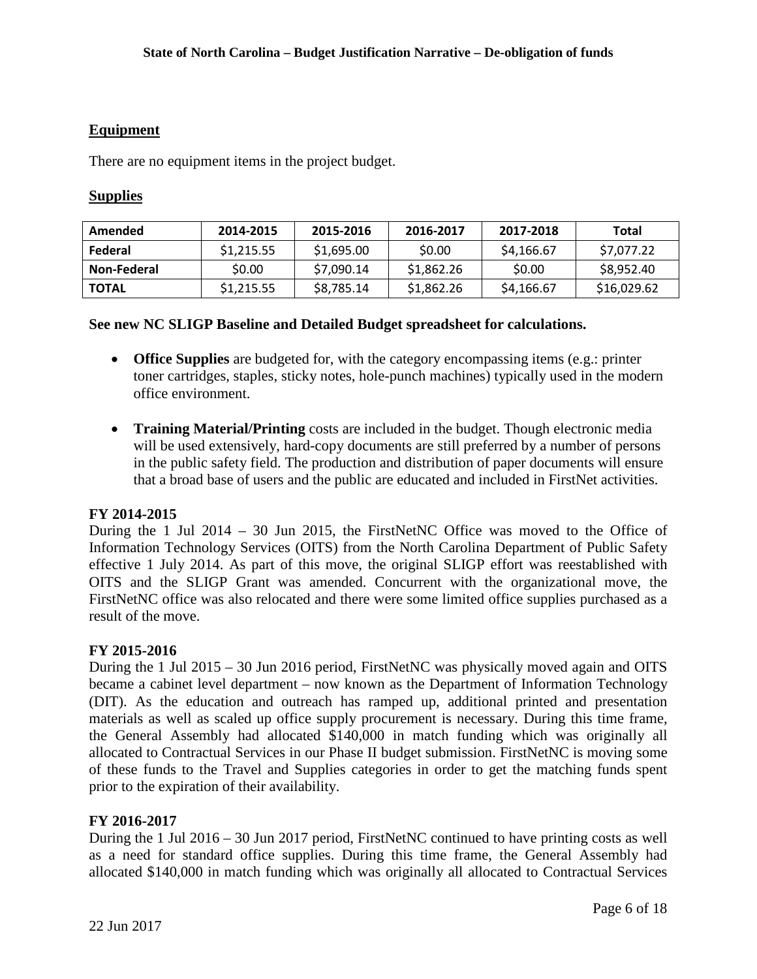#### **Equipment**

There are no equipment items in the project budget.

#### **Supplies**

| Amended      | 2014-2015  | 2015-2016  | 2016-2017  | 2017-2018  | Total       |
|--------------|------------|------------|------------|------------|-------------|
| Federal      | \$1,215.55 | \$1,695.00 | \$0.00     | \$4,166.67 | \$7,077.22  |
| Non-Federal  | \$0.00     | \$7,090.14 | \$1,862.26 | \$0.00     | \$8,952.40  |
| <b>TOTAL</b> | \$1,215.55 | \$8,785.14 | \$1,862.26 | \$4,166.67 | \$16,029.62 |

#### **See new NC SLIGP Baseline and Detailed Budget spreadsheet for calculations.**

- **Office Supplies** are budgeted for, with the category encompassing items (e.g.: printer toner cartridges, staples, sticky notes, hole-punch machines) typically used in the modern office environment.
- **Training Material/Printing** costs are included in the budget. Though electronic media will be used extensively, hard-copy documents are still preferred by a number of persons in the public safety field. The production and distribution of paper documents will ensure that a broad base of users and the public are educated and included in FirstNet activities.

#### **FY 2014-2015**

During the 1 Jul 2014 – 30 Jun 2015, the FirstNetNC Office was moved to the Office of Information Technology Services (OITS) from the North Carolina Department of Public Safety effective 1 July 2014. As part of this move, the original SLIGP effort was reestablished with OITS and the SLIGP Grant was amended. Concurrent with the organizational move, the FirstNetNC office was also relocated and there were some limited office supplies purchased as a result of the move.

#### **FY 2015-2016**

During the 1 Jul 2015 – 30 Jun 2016 period, FirstNetNC was physically moved again and OITS became a cabinet level department – now known as the Department of Information Technology (DIT). As the education and outreach has ramped up, additional printed and presentation materials as well as scaled up office supply procurement is necessary. During this time frame, the General Assembly had allocated \$140,000 in match funding which was originally all allocated to Contractual Services in our Phase II budget submission. FirstNetNC is moving some of these funds to the Travel and Supplies categories in order to get the matching funds spent prior to the expiration of their availability.

#### **FY 2016-2017**

During the 1 Jul 2016 – 30 Jun 2017 period, FirstNetNC continued to have printing costs as well as a need for standard office supplies. During this time frame, the General Assembly had allocated \$140,000 in match funding which was originally all allocated to Contractual Services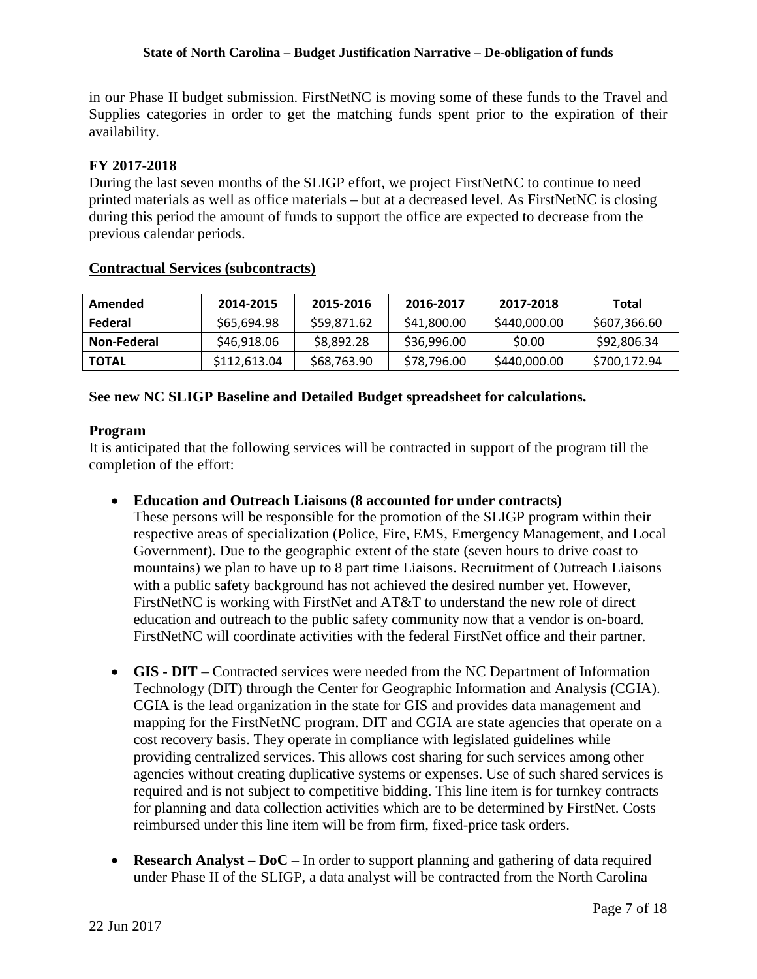in our Phase II budget submission. FirstNetNC is moving some of these funds to the Travel and Supplies categories in order to get the matching funds spent prior to the expiration of their availability.

# **FY 2017-2018**

During the last seven months of the SLIGP effort, we project FirstNetNC to continue to need printed materials as well as office materials – but at a decreased level. As FirstNetNC is closing during this period the amount of funds to support the office are expected to decrease from the previous calendar periods.

#### **Contractual Services (subcontracts)**

| Amended      | 2014-2015    | 2015-2016   | 2016-2017   | 2017-2018    | Total        |
|--------------|--------------|-------------|-------------|--------------|--------------|
| Federal      | \$65,694.98  | \$59,871.62 | \$41,800.00 | \$440,000.00 | \$607,366.60 |
| Non-Federal  | \$46,918.06  | \$8,892.28  | \$36,996.00 | \$0.00       | \$92,806.34  |
| <b>TOTAL</b> | \$112,613.04 | \$68,763.90 | \$78,796.00 | \$440,000.00 | \$700,172.94 |

#### **See new NC SLIGP Baseline and Detailed Budget spreadsheet for calculations.**

#### **Program**

It is anticipated that the following services will be contracted in support of the program till the completion of the effort:

• **Education and Outreach Liaisons (8 accounted for under contracts)**

These persons will be responsible for the promotion of the SLIGP program within their respective areas of specialization (Police, Fire, EMS, Emergency Management, and Local Government). Due to the geographic extent of the state (seven hours to drive coast to mountains) we plan to have up to 8 part time Liaisons. Recruitment of Outreach Liaisons with a public safety background has not achieved the desired number yet. However, FirstNetNC is working with FirstNet and AT&T to understand the new role of direct education and outreach to the public safety community now that a vendor is on-board. FirstNetNC will coordinate activities with the federal FirstNet office and their partner.

- **GIS - DIT** Contracted services were needed from the NC Department of Information Technology (DIT) through the Center for Geographic Information and Analysis (CGIA). CGIA is the lead organization in the state for GIS and provides data management and mapping for the FirstNetNC program. DIT and CGIA are state agencies that operate on a cost recovery basis. They operate in compliance with legislated guidelines while providing centralized services. This allows cost sharing for such services among other agencies without creating duplicative systems or expenses. Use of such shared services is required and is not subject to competitive bidding. This line item is for turnkey contracts for planning and data collection activities which are to be determined by FirstNet. Costs reimbursed under this line item will be from firm, fixed-price task orders.
- **Research Analyst DoC** In order to support planning and gathering of data required under Phase II of the SLIGP, a data analyst will be contracted from the North Carolina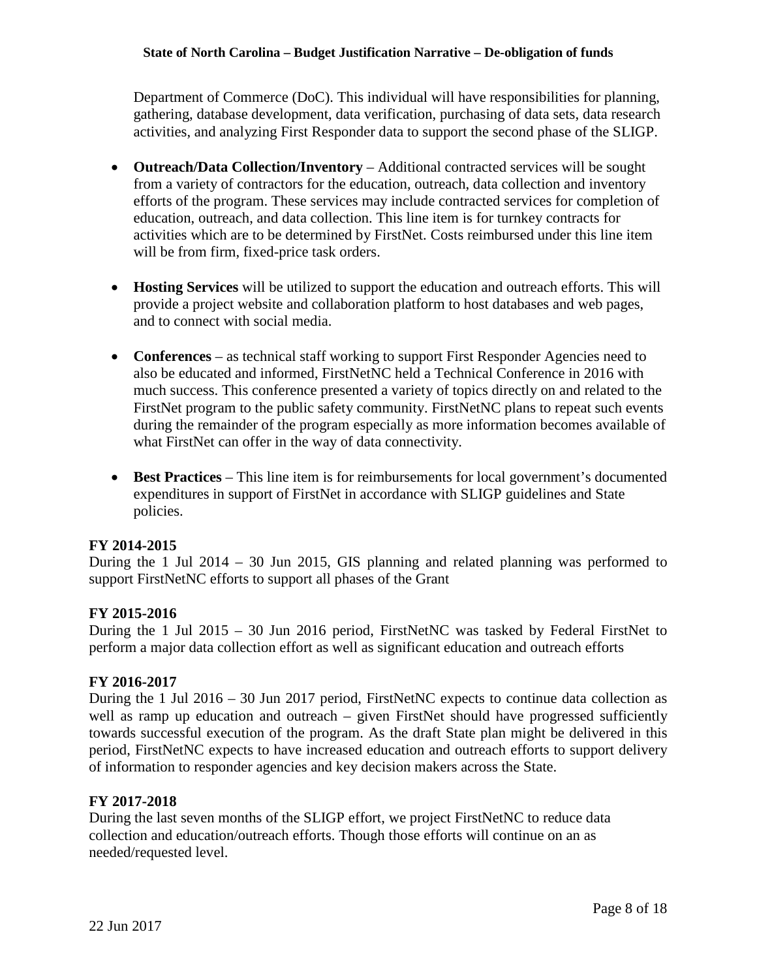Department of Commerce (DoC). This individual will have responsibilities for planning, gathering, database development, data verification, purchasing of data sets, data research activities, and analyzing First Responder data to support the second phase of the SLIGP.

- **Outreach/Data Collection/Inventory** Additional contracted services will be sought from a variety of contractors for the education, outreach, data collection and inventory efforts of the program. These services may include contracted services for completion of education, outreach, and data collection. This line item is for turnkey contracts for activities which are to be determined by FirstNet. Costs reimbursed under this line item will be from firm, fixed-price task orders.
- **Hosting Services** will be utilized to support the education and outreach efforts. This will provide a project website and collaboration platform to host databases and web pages, and to connect with social media.
- **Conferences** as technical staff working to support First Responder Agencies need to also be educated and informed, FirstNetNC held a Technical Conference in 2016 with much success. This conference presented a variety of topics directly on and related to the FirstNet program to the public safety community. FirstNetNC plans to repeat such events during the remainder of the program especially as more information becomes available of what FirstNet can offer in the way of data connectivity.
- **Best Practices** This line item is for reimbursements for local government's documented expenditures in support of FirstNet in accordance with SLIGP guidelines and State policies.

#### **FY 2014-2015**

During the 1 Jul 2014 – 30 Jun 2015, GIS planning and related planning was performed to support FirstNetNC efforts to support all phases of the Grant

#### **FY 2015-2016**

During the 1 Jul 2015 – 30 Jun 2016 period, FirstNetNC was tasked by Federal FirstNet to perform a major data collection effort as well as significant education and outreach efforts

#### **FY 2016-2017**

During the 1 Jul 2016 – 30 Jun 2017 period, FirstNetNC expects to continue data collection as well as ramp up education and outreach – given FirstNet should have progressed sufficiently towards successful execution of the program. As the draft State plan might be delivered in this period, FirstNetNC expects to have increased education and outreach efforts to support delivery of information to responder agencies and key decision makers across the State.

#### **FY 2017-2018**

During the last seven months of the SLIGP effort, we project FirstNetNC to reduce data collection and education/outreach efforts. Though those efforts will continue on an as needed/requested level.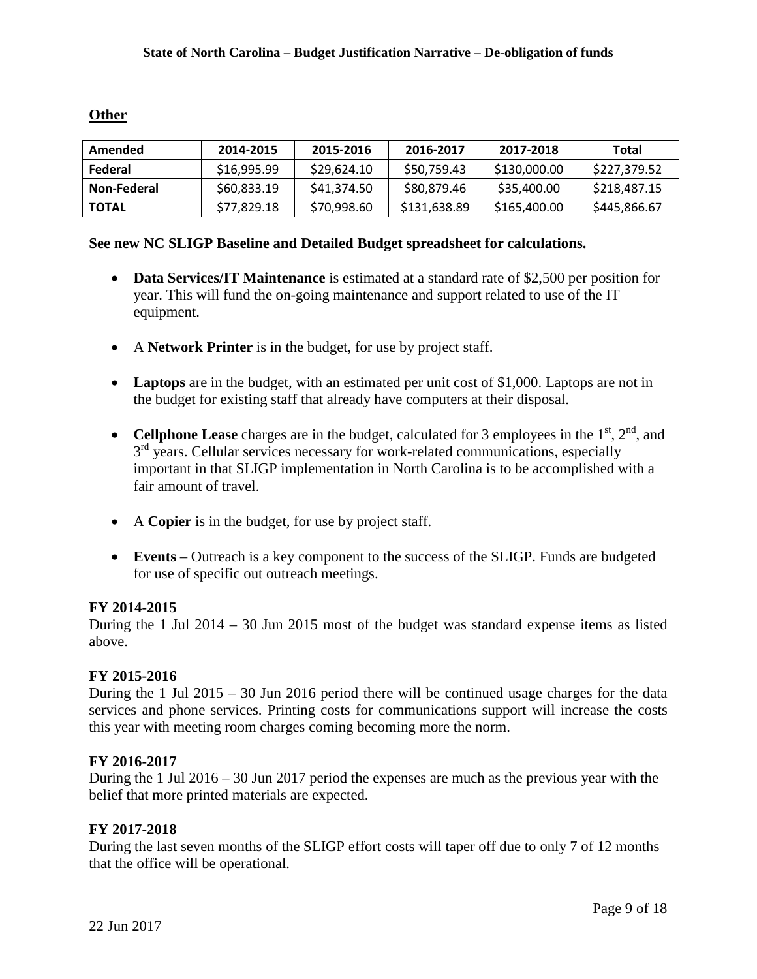### **Other**

| Amended      | 2014-2015   | 2015-2016   | 2016-2017    | 2017-2018    | Total        |
|--------------|-------------|-------------|--------------|--------------|--------------|
| Federal      | \$16,995.99 | \$29,624.10 | \$50,759.43  | \$130,000.00 | \$227,379.52 |
| Non-Federal  | \$60,833.19 | \$41.374.50 | \$80,879.46  | \$35,400.00  | \$218,487.15 |
| <b>TOTAL</b> | \$77,829.18 | \$70,998.60 | \$131,638.89 | \$165,400.00 | \$445,866.67 |

### **See new NC SLIGP Baseline and Detailed Budget spreadsheet for calculations.**

- **Data Services/IT Maintenance** is estimated at a standard rate of \$2,500 per position for year. This will fund the on-going maintenance and support related to use of the IT equipment.
- A **Network Printer** is in the budget, for use by project staff.
- Laptops are in the budget, with an estimated per unit cost of \$1,000. Laptops are not in the budget for existing staff that already have computers at their disposal.
- **Cellphone Lease** charges are in the budget, calculated for 3 employees in the  $1<sup>st</sup>$ ,  $2<sup>nd</sup>$ , and  $3<sup>rd</sup>$  years. Cellular services necessary for work-related communications, especially important in that SLIGP implementation in North Carolina is to be accomplished with a fair amount of travel.
- A **Copier** is in the budget, for use by project staff.
- **Events** Outreach is a key component to the success of the SLIGP. Funds are budgeted for use of specific out outreach meetings.

# **FY 2014-2015**

During the 1 Jul 2014 – 30 Jun 2015 most of the budget was standard expense items as listed above.

#### **FY 2015-2016**

During the 1 Jul 2015 – 30 Jun 2016 period there will be continued usage charges for the data services and phone services. Printing costs for communications support will increase the costs this year with meeting room charges coming becoming more the norm.

# **FY 2016-2017**

During the 1 Jul 2016 – 30 Jun 2017 period the expenses are much as the previous year with the belief that more printed materials are expected.

# **FY 2017-2018**

During the last seven months of the SLIGP effort costs will taper off due to only 7 of 12 months that the office will be operational.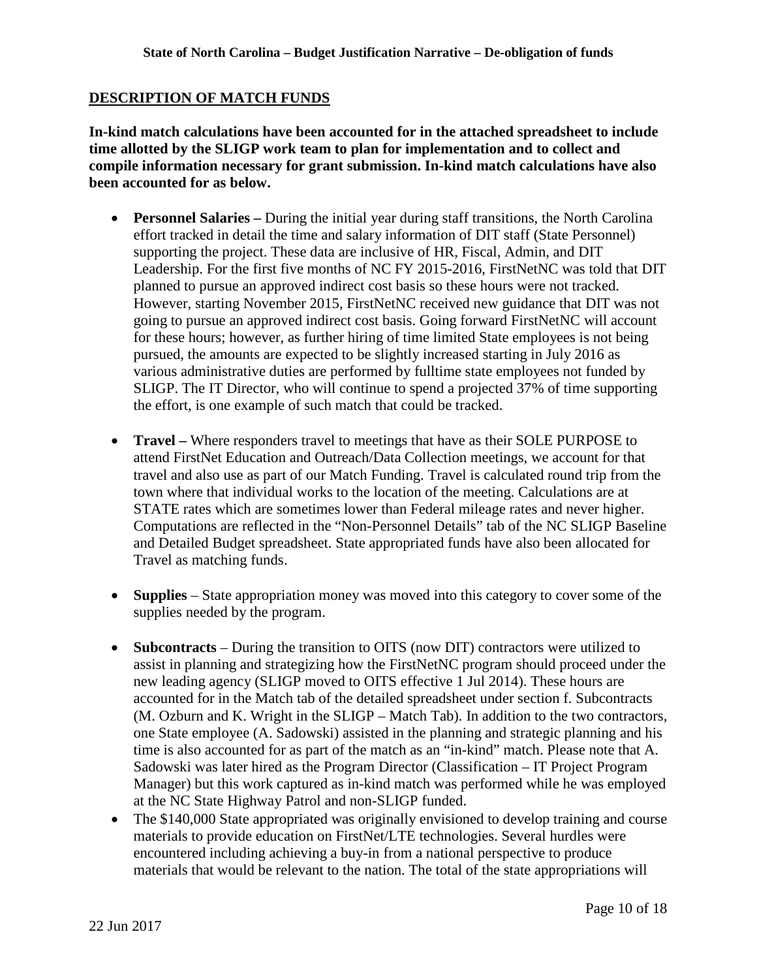#### **DESCRIPTION OF MATCH FUNDS**

**In-kind match calculations have been accounted for in the attached spreadsheet to include time allotted by the SLIGP work team to plan for implementation and to collect and compile information necessary for grant submission. In-kind match calculations have also been accounted for as below.**

- **Personnel Salaries** During the initial year during staff transitions, the North Carolina effort tracked in detail the time and salary information of DIT staff (State Personnel) supporting the project. These data are inclusive of HR, Fiscal, Admin, and DIT Leadership. For the first five months of NC FY 2015-2016, FirstNetNC was told that DIT planned to pursue an approved indirect cost basis so these hours were not tracked. However, starting November 2015, FirstNetNC received new guidance that DIT was not going to pursue an approved indirect cost basis. Going forward FirstNetNC will account for these hours; however, as further hiring of time limited State employees is not being pursued, the amounts are expected to be slightly increased starting in July 2016 as various administrative duties are performed by fulltime state employees not funded by SLIGP. The IT Director, who will continue to spend a projected 37% of time supporting the effort, is one example of such match that could be tracked.
- **Travel** Where responders travel to meetings that have as their SOLE PURPOSE to attend FirstNet Education and Outreach/Data Collection meetings, we account for that travel and also use as part of our Match Funding. Travel is calculated round trip from the town where that individual works to the location of the meeting. Calculations are at STATE rates which are sometimes lower than Federal mileage rates and never higher. Computations are reflected in the "Non-Personnel Details" tab of the NC SLIGP Baseline and Detailed Budget spreadsheet. State appropriated funds have also been allocated for Travel as matching funds.
- **Supplies** State appropriation money was moved into this category to cover some of the supplies needed by the program.
- **Subcontracts** During the transition to OITS (now DIT) contractors were utilized to assist in planning and strategizing how the FirstNetNC program should proceed under the new leading agency (SLIGP moved to OITS effective 1 Jul 2014). These hours are accounted for in the Match tab of the detailed spreadsheet under section f. Subcontracts (M. Ozburn and K. Wright in the SLIGP – Match Tab). In addition to the two contractors, one State employee (A. Sadowski) assisted in the planning and strategic planning and his time is also accounted for as part of the match as an "in-kind" match. Please note that A. Sadowski was later hired as the Program Director (Classification – IT Project Program Manager) but this work captured as in-kind match was performed while he was employed at the NC State Highway Patrol and non-SLIGP funded.
- The \$140,000 State appropriated was originally envisioned to develop training and course materials to provide education on FirstNet/LTE technologies. Several hurdles were encountered including achieving a buy-in from a national perspective to produce materials that would be relevant to the nation. The total of the state appropriations will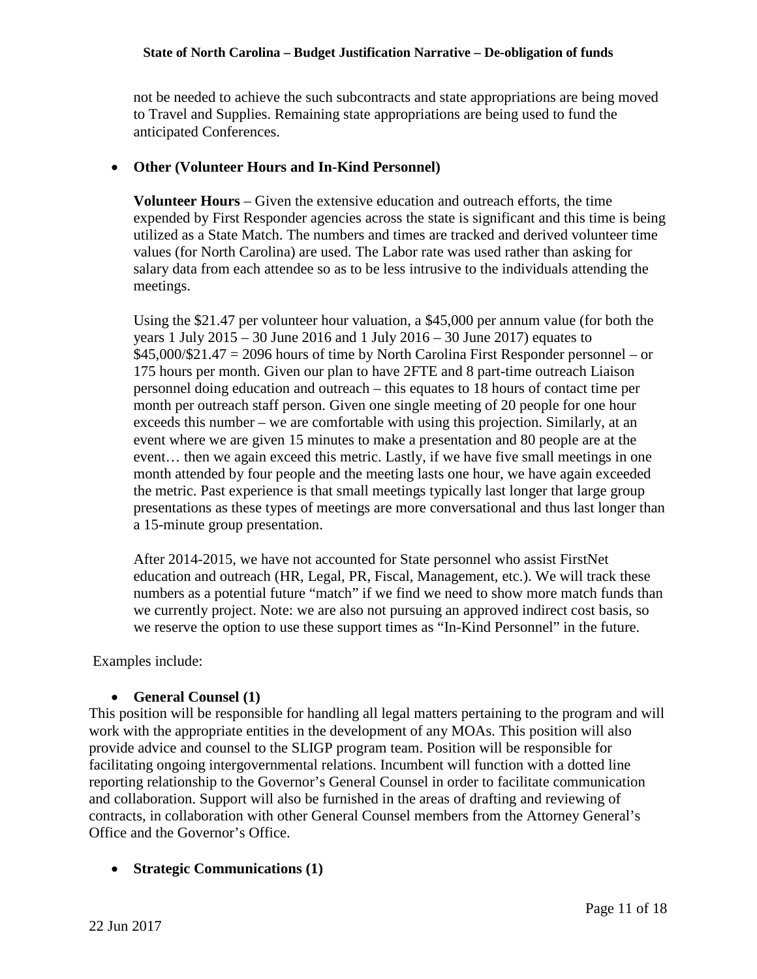not be needed to achieve the such subcontracts and state appropriations are being moved to Travel and Supplies. Remaining state appropriations are being used to fund the anticipated Conferences.

#### • **Other (Volunteer Hours and In-Kind Personnel)**

**Volunteer Hours** – Given the extensive education and outreach efforts, the time expended by First Responder agencies across the state is significant and this time is being utilized as a State Match. The numbers and times are tracked and derived volunteer time values (for North Carolina) are used. The Labor rate was used rather than asking for salary data from each attendee so as to be less intrusive to the individuals attending the meetings.

Using the \$21.47 per volunteer hour valuation, a \$45,000 per annum value (for both the years 1 July 2015 – 30 June 2016 and 1 July 2016 – 30 June 2017) equates to \$45,000/\$21.47 = 2096 hours of time by North Carolina First Responder personnel – or 175 hours per month. Given our plan to have 2FTE and 8 part-time outreach Liaison personnel doing education and outreach – this equates to 18 hours of contact time per month per outreach staff person. Given one single meeting of 20 people for one hour exceeds this number – we are comfortable with using this projection. Similarly, at an event where we are given 15 minutes to make a presentation and 80 people are at the event… then we again exceed this metric. Lastly, if we have five small meetings in one month attended by four people and the meeting lasts one hour, we have again exceeded the metric. Past experience is that small meetings typically last longer that large group presentations as these types of meetings are more conversational and thus last longer than a 15-minute group presentation.

After 2014-2015, we have not accounted for State personnel who assist FirstNet education and outreach (HR, Legal, PR, Fiscal, Management, etc.). We will track these numbers as a potential future "match" if we find we need to show more match funds than we currently project. Note: we are also not pursuing an approved indirect cost basis, so we reserve the option to use these support times as "In-Kind Personnel" in the future.

Examples include:

#### • **General Counsel (1)**

This position will be responsible for handling all legal matters pertaining to the program and will work with the appropriate entities in the development of any MOAs. This position will also provide advice and counsel to the SLIGP program team. Position will be responsible for facilitating ongoing intergovernmental relations. Incumbent will function with a dotted line reporting relationship to the Governor's General Counsel in order to facilitate communication and collaboration. Support will also be furnished in the areas of drafting and reviewing of contracts, in collaboration with other General Counsel members from the Attorney General's Office and the Governor's Office.

# • **Strategic Communications (1)**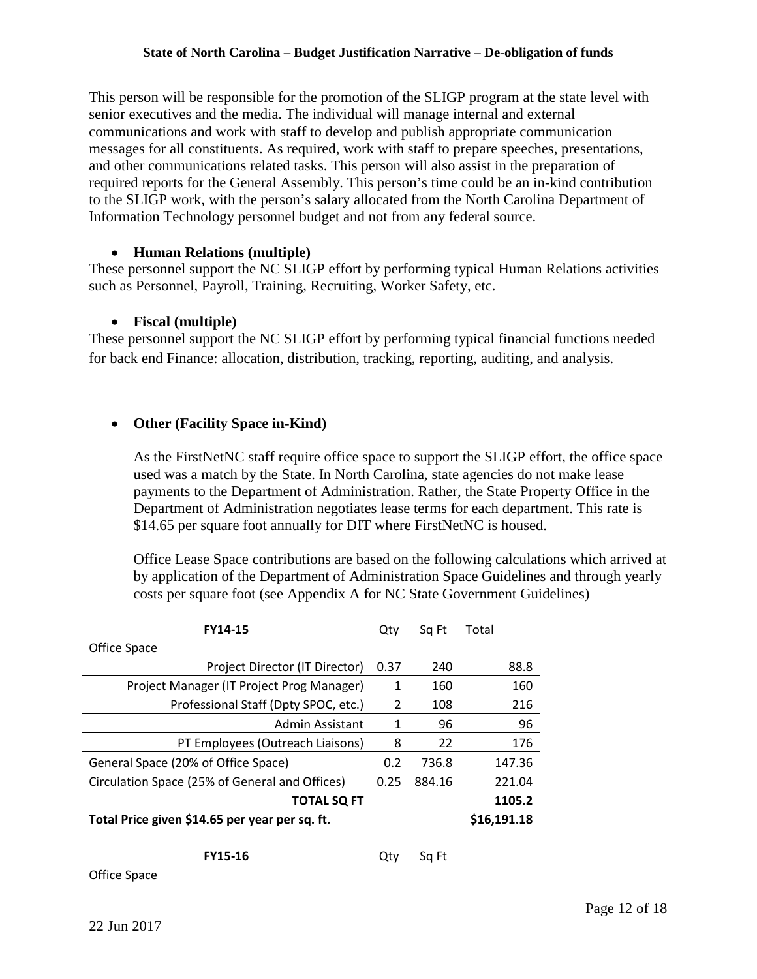This person will be responsible for the promotion of the SLIGP program at the state level with senior executives and the media. The individual will manage internal and external communications and work with staff to develop and publish appropriate communication messages for all constituents. As required, work with staff to prepare speeches, presentations, and other communications related tasks. This person will also assist in the preparation of required reports for the General Assembly. This person's time could be an in-kind contribution to the SLIGP work, with the person's salary allocated from the North Carolina Department of Information Technology personnel budget and not from any federal source.

#### • **Human Relations (multiple)**

These personnel support the NC SLIGP effort by performing typical Human Relations activities such as Personnel, Payroll, Training, Recruiting, Worker Safety, etc.

#### • **Fiscal (multiple)**

These personnel support the NC SLIGP effort by performing typical financial functions needed for back end Finance: allocation, distribution, tracking, reporting, auditing, and analysis.

#### • **Other (Facility Space in-Kind)**

As the FirstNetNC staff require office space to support the SLIGP effort, the office space used was a match by the State. In North Carolina, state agencies do not make lease payments to the Department of Administration. Rather, the State Property Office in the Department of Administration negotiates lease terms for each department. This rate is \$14.65 per square foot annually for DIT where FirstNetNC is housed.

Office Lease Space contributions are based on the following calculations which arrived at by application of the Department of Administration Space Guidelines and through yearly costs per square foot (see Appendix A for NC State Government Guidelines)

| FY14-15                                        | Qtv  | Sq Ft  | Total       |
|------------------------------------------------|------|--------|-------------|
| Office Space                                   |      |        |             |
| Project Director (IT Director)                 | 0.37 | 240    | 88.8        |
| Project Manager (IT Project Prog Manager)      | 1    | 160    | 160         |
| Professional Staff (Dpty SPOC, etc.)           | 2    | 108    | 216         |
| Admin Assistant                                | 1    | 96     | 96          |
| PT Employees (Outreach Liaisons)               | 8    | 22     | 176         |
| General Space (20% of Office Space)            | 0.2  | 736.8  | 147.36      |
| Circulation Space (25% of General and Offices) | 0.25 | 884.16 | 221.04      |
| <b>TOTAL SQ FT</b>                             |      |        | 1105.2      |
| Total Price given \$14.65 per year per sq. ft. |      |        | \$16,191.18 |
|                                                |      |        |             |

| <b>FY15-16</b> |  | Qty Sq Ft |
|----------------|--|-----------|
|----------------|--|-----------|

Office Space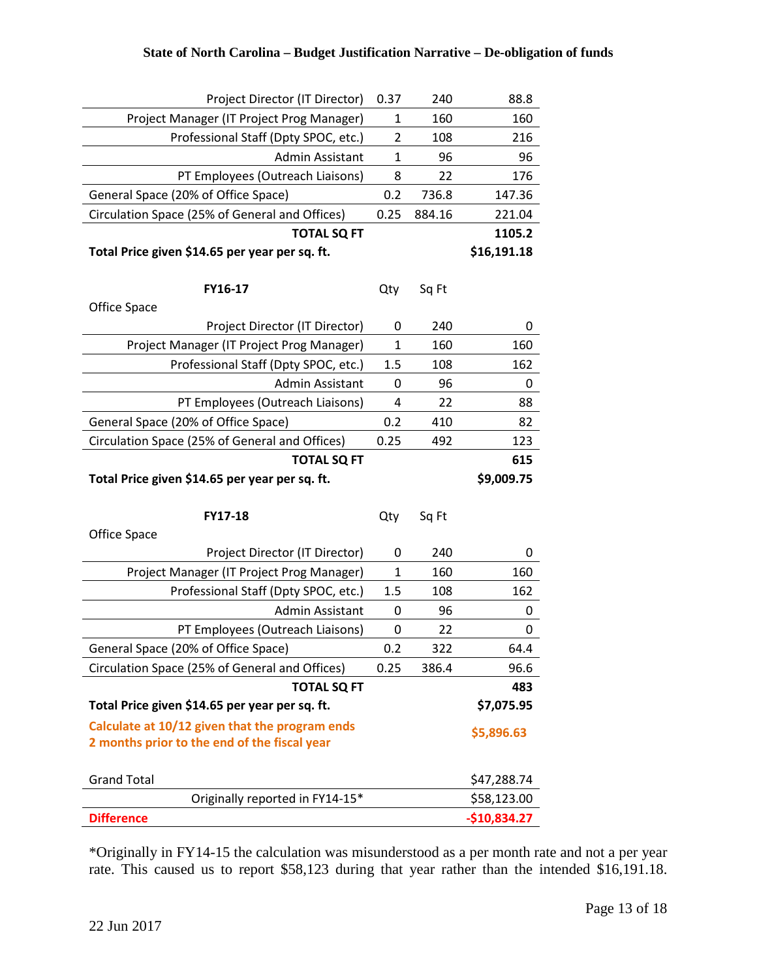| Project Director (IT Director)                       | 0.37         | 240    | 88.8                         |
|------------------------------------------------------|--------------|--------|------------------------------|
| Project Manager (IT Project Prog Manager)            | 1            | 160    | 160                          |
| Professional Staff (Dpty SPOC, etc.)                 | 2            | 108    | 216                          |
| Admin Assistant                                      | $\mathbf{1}$ | 96     | 96                           |
| PT Employees (Outreach Liaisons)                     | 8            | 22     | 176                          |
| General Space (20% of Office Space)                  | 0.2          | 736.8  | 147.36                       |
| Circulation Space (25% of General and Offices)       | 0.25         | 884.16 | 221.04                       |
| <b>TOTAL SQ FT</b>                                   |              |        | 1105.2                       |
| Total Price given \$14.65 per year per sq. ft.       |              |        | \$16,191.18                  |
|                                                      |              |        |                              |
| FY16-17                                              | Qty          | Sq Ft  |                              |
| Office Space                                         |              |        |                              |
| Project Director (IT Director)                       | 0            | 240    | 0                            |
| Project Manager (IT Project Prog Manager)            | 1            | 160    | 160                          |
| Professional Staff (Dpty SPOC, etc.)                 | 1.5          | 108    | 162                          |
| Admin Assistant                                      | 0            | 96     | 0                            |
| PT Employees (Outreach Liaisons)                     | 4            | 22     | 88                           |
| General Space (20% of Office Space)                  | 0.2          | 410    | 82                           |
| Circulation Space (25% of General and Offices)       | 0.25         | 492    | 123                          |
|                                                      |              |        |                              |
| <b>TOTAL SQ FT</b>                                   |              |        | 615                          |
| Total Price given \$14.65 per year per sq. ft.       |              |        | \$9,009.75                   |
|                                                      |              |        |                              |
| FY17-18                                              | Qty          | Sq Ft  |                              |
| Office Space                                         |              |        |                              |
| Project Director (IT Director)                       | 0            | 240    | 0                            |
| Project Manager (IT Project Prog Manager)            | $\mathbf{1}$ | 160    | 160                          |
| Professional Staff (Dpty SPOC, etc.)                 | 1.5          | 108    | 162                          |
| Admin Assistant                                      | 0            | 96     | 0                            |
| PT Employees (Outreach Liaisons)                     | 0            | 22     | 0                            |
| General Space (20% of Office Space)                  | 0.2          | 322    | 64.4                         |
| Circulation Space (25% of General and Offices)       | 0.25         | 386.4  | 96.6                         |
| <b>TOTAL SQ FT</b>                                   |              |        | 483                          |
| Total Price given \$14.65 per year per sq. ft.       |              |        | \$7,075.95                   |
| Calculate at 10/12 given that the program ends       |              |        |                              |
| 2 months prior to the end of the fiscal year         |              |        | \$5,896.63                   |
|                                                      |              |        |                              |
| <b>Grand Total</b>                                   |              |        | \$47,288.74                  |
| Originally reported in FY14-15*<br><b>Difference</b> |              |        | \$58,123.00<br>$-$10,834.27$ |

\*Originally in FY14-15 the calculation was misunderstood as a per month rate and not a per year rate. This caused us to report \$58,123 during that year rather than the intended \$16,191.18.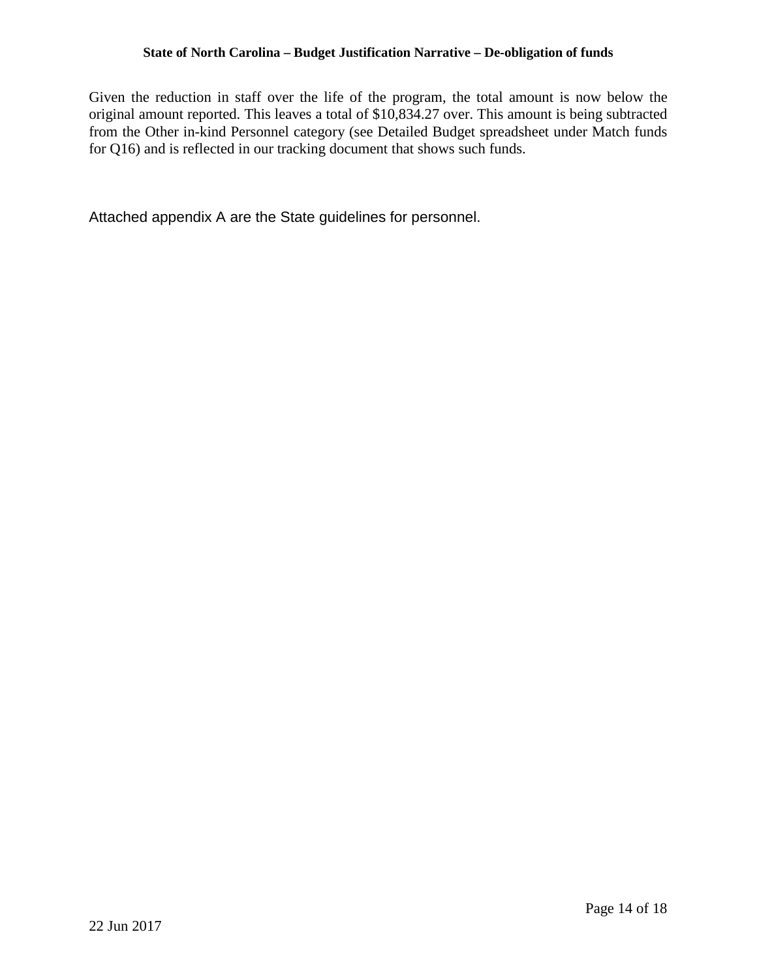Given the reduction in staff over the life of the program, the total amount is now below the original amount reported. This leaves a total of \$10,834.27 over. This amount is being subtracted from the Other in-kind Personnel category (see Detailed Budget spreadsheet under Match funds for Q16) and is reflected in our tracking document that shows such funds.

Attached appendix A are the State guidelines for personnel.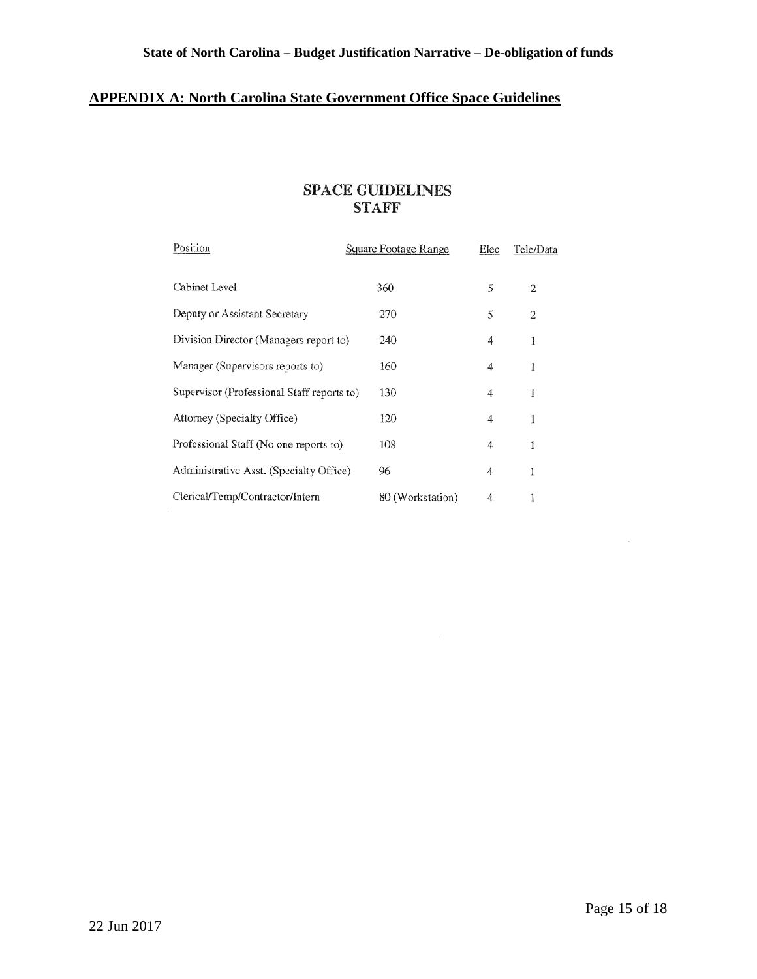# **APPENDIX A: North Carolina State Government Office Space Guidelines**

# **SPACE GillDELINES STAFF**

| Position                                   | Square Footage Range | Elec | Tele/Data |
|--------------------------------------------|----------------------|------|-----------|
| Cabinet Level                              | 360                  | 5    | 2         |
| Deputy or Assistant Secretary              | 270                  | 5    | 2         |
| Division Director (Managers report to)     | 240                  | 4    | 1         |
| Manager (Supervisors reports to)           | 160                  | 4    | 1         |
| Supervisor (Professional Staff reports to) | 130                  | 4    | 1         |
| Attorney (Specialty Office)                | 120                  | 4    | 1         |
| Professional Staff (No one reports to)     | 108                  | 4    | 1         |
| Administrative Asst. (Specialty Office)    | 96                   | 4    | 1         |
| Clerical/Temp/Contractor/Intern            | 80 (Workstation)     | 4    |           |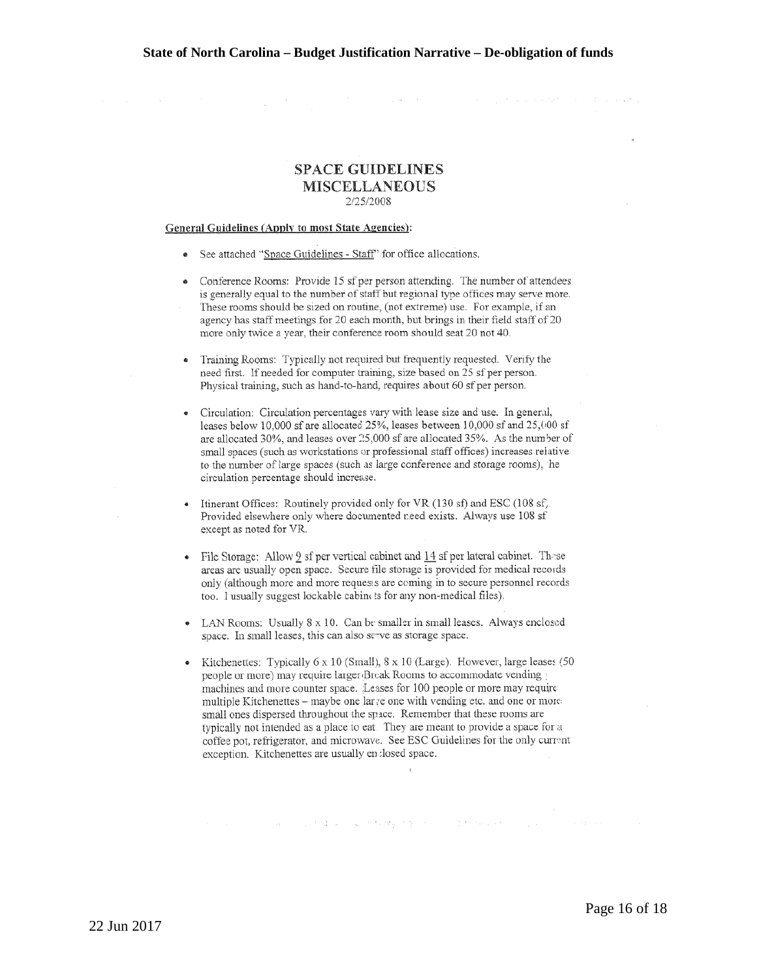$\mathcal{L}_{\rm{max}}$  and  $\mathcal{L}_{\rm{max}}$ 

contract the present and the contract of the season

#### **SPACE GUIDELINES MISCELLANEOUS**  2/25/2008

#### **General Guidelines (Apnlv to most State Agencies):**

- See attached "Space Guidelines Staff" for office allocations.
- Conference Rooms: Provide 15 sf per person attending. The number of attendees is generally equal to the number of staff but regional type offices may serve more. These rooms should be sized on routine, (not extreme) use. For example, if an agency bas staff meetings for 20 each month, but brings in their field staff of 20 more only twice a year, their conference room should seat 20 not 40.
- Training Rooms: Typically not required but frequently requested. Verify the need first. If needed for computer training, size based on 25 sf per person. Physical training, such as hand-to-hand, requires about 60 sf per person.
- Circulation: Circulation percentages vary with lease size and use. In general, leases below 10,000 sf are allocated 25%, leases between 10,000 sf and 25,000 sf are allocated 30%, and leases over  $25,000$  sf are allocated 35%. As the number of small spaces (sucb as workstations or professional staff offices) increases relative to the number of large spaces (such as large conference and storage rooms), he circulation percentage should increase.
- Itinerant Offices: Routinely provided only for VR (130 sf) and ESC (108 sf). Provided elsewhere only where documented r.eed exists. Always use 108 sf except as noted for VR.
- File Storage: Allow  $9$  sf per vertical cabinet and  $14$  sf per lateral cabinet. These areas are usually open space. Secure file storage is provided for medical records only (although more and more requesis are coming in to secure personnel records too. I usually suggest lockable cabinets for any non-medical files).
- LAN Rooms: Usually 8 x 10. Can be smaller in small leases. Always enclosed space. In small leases, this can also serve as storage space.
- Kitchenettes: Typically 6 x 10 (Small), 8 x 10 (Large). However, large leases (50 people or more) may require larger Break Rooms to accommodate vending machines and more counter space. Leases for 100 people or more may require multiple Kitchenettes - maybe one larve one with vending etc. and one or more small ones dispersed throughout the space. Remember that these rooms are typically not intended as a place to eat They are meant to provide a space for a coffee pot, refrigerator, and microwave. See ESC Guidelines for the only current exception. Kitchenettes are usually en :losed space.

and with a traditional experience of the second companion and research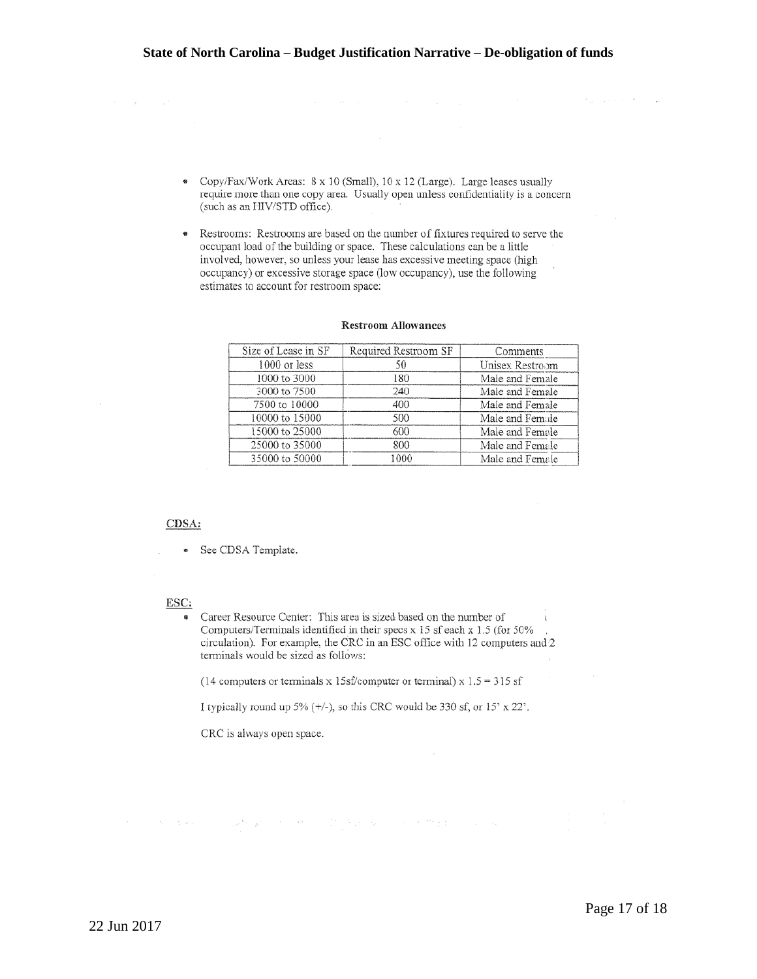- Copy/Fax/Work Areas: 8 x JO (Small), 10 x 12 (Large). Large leases usually require more than one copy area. Usually open unless confidentiality is a concern (such as an HIV/STD office).
- Restrooms: Restrooms are based on the number of fixtures required to serve the occupant load of the building or space. These calculations can be a little involved, however, so unless your lease bas excessive meeting space (high occupancy) or excessive storage space (low occupancy), use the following estimates to account for restroom space:

| Size of Lease in SF | Required Restroom SF | Comments        |
|---------------------|----------------------|-----------------|
| $1000$ or less      | 50                   | Unisex Restroom |
| 1000 to 3000        | 180                  | Male and Female |
| 3000 to 7500        | 240                  | Male and Female |
| 7500 to 10000       | 400                  | Male and Female |
| 10000 to 15000      | 500                  | Male and Female |
| 15000 to 25000      | 600                  | Male and Female |
| 25000 to 35000      | 800                  | Male and Female |
| 35000 to 50000      | 1000                 | Male and Female |

#### **Restroom Allowances**

#### CDSA:

• See CDSA Template.

#### **ESC:**

Career Resource Center: This area is sized based on the number of Computers/Terminals identified in their specs x 15 sf each x 1.5 (for 50% circulation). For example, the CRC in an ESC office with 12 computers and 2 terminals would be sized as follows:

(14 computers or terminals x 15sf/computer or terminal) x  $1.5 = 315$  sf

I typically round up 5%  $(+/-)$ , so this CRC would be 330 sf, or 15' x 22'.

some devices and performance of the special contract the contract

CRC is always open space.

Popular Control Comp